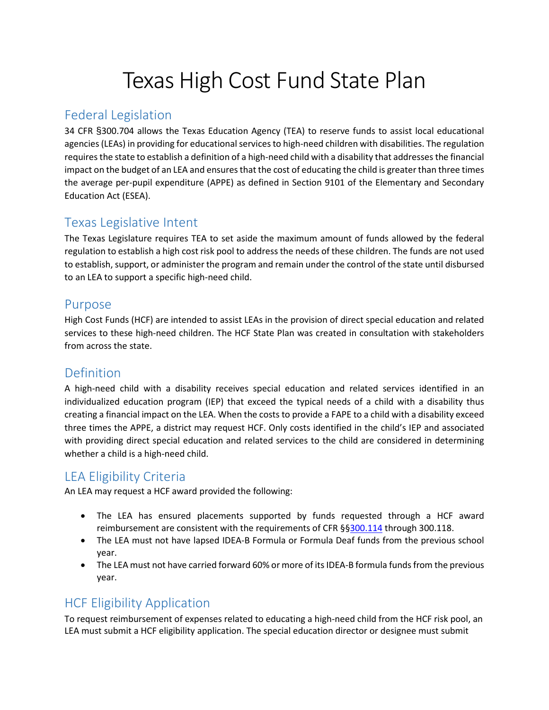# Texas High Cost Fund State Plan

### Federal Legislation

34 CFR §300.704 allows the Texas Education Agency (TEA) to reserve funds to assist local educational agencies (LEAs) in providing for educational services to high-need children with disabilities. The regulation requires the state to establish a definition of a high-need child with a disability that addresses the financial impact on the budget of an LEA and ensures that the cost of educating the child is greater than three times the average per-pupil expenditure (APPE) as defined in Section 9101 of the Elementary and Secondary Education Act (ESEA).

#### Texas Legislative Intent

The Texas Legislature requires TEA to set aside the maximum amount of funds allowed by the federal regulation to establish a high cost risk pool to address the needs of these children. The funds are not used to establish, support, or administer the program and remain under the control of the state until disbursed to an LEA to support a specific high-need child.

#### Purpose

High Cost Funds (HCF) are intended to assist LEAs in the provision of direct special education and related services to these high-need children. The HCF State Plan was created in consultation with stakeholders from across the state.

#### Definition

A high-need child with a disability receives special education and related services identified in an individualized education program (IEP) that exceed the typical needs of a child with a disability thus creating a financial impact on the LEA. When the costs to provide a FAPE to a child with a disability exceed three times the APPE, a district may request HCF. Only costs identified in the child's IEP and associated with providing direct special education and related services to the child are considered in determining whether a child is a high-need child.

## LEA Eligibility Criteria

An LEA may request a HCF award provided the following:

- The LEA has ensured placements supported by funds requested through a HCF award reimbursement are consistent with the requirements of CFR §[§300.114](https://www.law.cornell.edu/cfr/text/34/300.114) through 300.118.
- The LEA must not have lapsed IDEA-B Formula or Formula Deaf funds from the previous school year.
- The LEA must not have carried forward 60% or more of its IDEA-B formula funds from the previous year.

# HCF Eligibility Application

To request reimbursement of expenses related to educating a high-need child from the HCF risk pool, an LEA must submit a HCF eligibility application. The special education director or designee must submit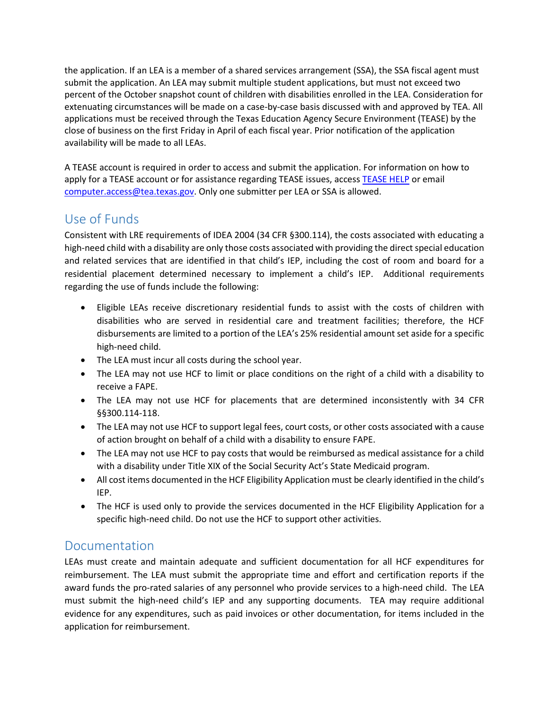the application. If an LEA is a member of a shared services arrangement (SSA), the SSA fiscal agent must submit the application. An LEA may submit multiple student applications, but must not exceed two percent of the October snapshot count of children with disabilities enrolled in the LEA. Consideration for extenuating circumstances will be made on a case-by-case basis discussed with and approved by TEA. All applications must be received through the Texas Education Agency Secure Environment (TEASE) by the close of business on the first Friday in April of each fiscal year. Prior notification of the application availability will be made to all LEAs.

A TEASE account is required in order to access and submit the application. For information on how to apply for a TEASE account or for assistance regarding TEASE issues, access [TEASE HELP](https://seguin.tea.state.tx.us/apps/help/tease.htm) or email [computer.access@tea.texas.gov.](mailto:computer.access@tea.texas.gov) Only one submitter per LEA or SSA is allowed.

## Use of Funds

Consistent with LRE requirements of IDEA 2004 (34 CFR §300.114), the costs associated with educating a high-need child with a disability are only those costs associated with providing the direct special education and related services that are identified in that child's IEP, including the cost of room and board for a residential placement determined necessary to implement a child's IEP. Additional requirements regarding the use of funds include the following:

- Eligible LEAs receive discretionary residential funds to assist with the costs of children with disabilities who are served in residential care and treatment facilities; therefore, the HCF disbursements are limited to a portion of the LEA's 25% residential amount set aside for a specific high-need child.
- The LEA must incur all costs during the school year.
- The LEA may not use HCF to limit or place conditions on the right of a child with a disability to receive a FAPE.
- The LEA may not use HCF for placements that are determined inconsistently with 34 CFR §§300.114-118.
- The LEA may not use HCF to support legal fees, court costs, or other costs associated with a cause of action brought on behalf of a child with a disability to ensure FAPE.
- The LEA may not use HCF to pay costs that would be reimbursed as medical assistance for a child with a disability under Title XIX of the Social Security Act's State Medicaid program.
- All cost items documented in the HCF Eligibility Application must be clearly identified in the child's IEP.
- The HCF is used only to provide the services documented in the HCF Eligibility Application for a specific high-need child. Do not use the HCF to support other activities.

#### Documentation

LEAs must create and maintain adequate and sufficient documentation for all HCF expenditures for reimbursement. The LEA must submit the appropriate time and effort and certification reports if the award funds the pro-rated salaries of any personnel who provide services to a high-need child. The LEA must submit the high-need child's IEP and any supporting documents. TEA may require additional evidence for any expenditures, such as paid invoices or other documentation, for items included in the application for reimbursement.